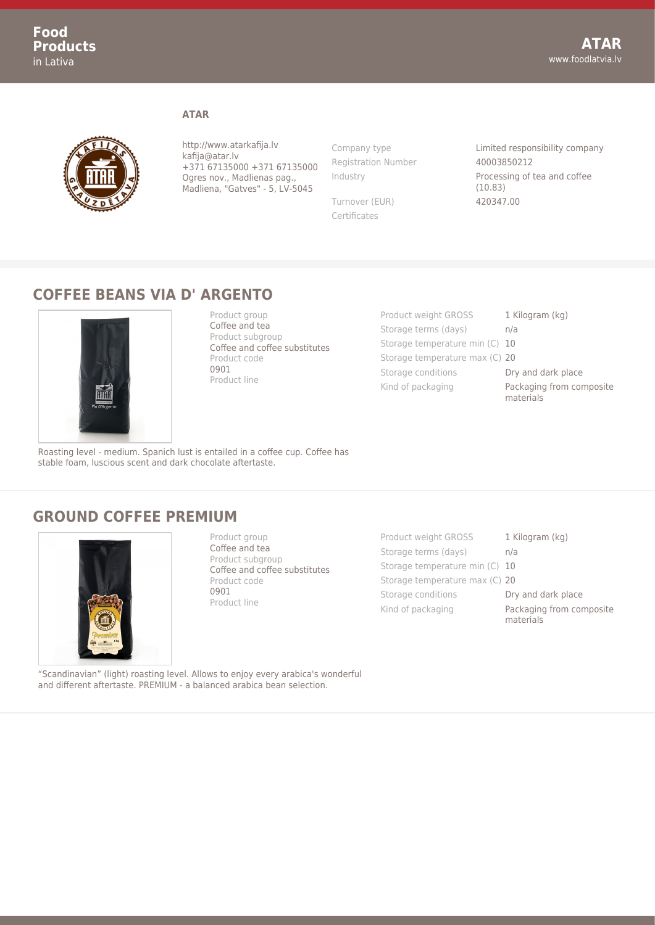

http://www.atarkafija.lv kafija@atar.lv +371 67135000 +371 67135000 Ogres nov., Madlienas pag., Madliena, "Gatves" - 5, LV-5045

**ATAR**

Registration Number 40003850212

Turnover (EUR) 420347.00 Certificates

Company type Limited responsibility company Industry Processing of tea and coffee (10.83)

## **COFFEE BEANS VIA D' ARGENTO**



Product group Coffee and tea Product subgroup Coffee and coffee substitutes Product code 0901 Product line

Product weight GROSS 1 Kilogram (kg) Storage terms (days) h/a Storage temperature min (C) 10 Storage temperature max (C) 20 Storage conditions **Dry and dark place** Kind of packaging **Packaging from composite** materials

Roasting level - medium. Spanich lust is entailed in a coffee cup. Coffee has stable foam, luscious scent and dark chocolate aftertaste.

## **GROUND COFFEE PREMIUM**



Product group Coffee and tea Product subgroup Coffee and coffee substitutes Product code 0901 Product line

Product weight GROSS 1 Kilogram (kg) Storage terms (days) h/a Storage temperature min (C) 10 Storage temperature max (C) 20 Storage conditions **Dry and dark place** Kind of packaging **Packaging from composite** 

materials

"Scandinavian" (light) roasting level. Allows to enjoy every arabica's wonderful and different aftertaste. PREMIUM - a balanced arabica bean selection.